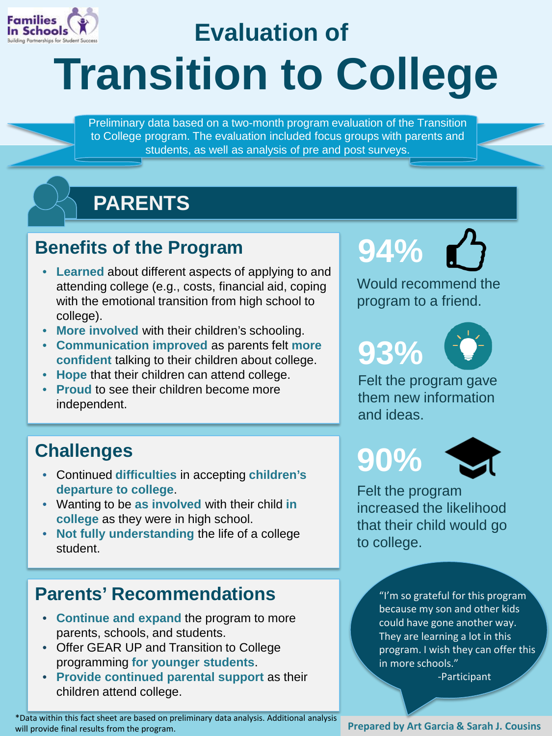

## **Transition to College Evaluation of**

Preliminary data based on a two-month program evaluation of the Transition to College program. The evaluation included focus groups with parents and students, as well as analysis of pre and post surveys.

v



### **Benefits of the Program**

- **Learned** about different aspects of applying to and attending college (e.g., costs, financial aid, coping with the emotional transition from high school to college).
- **More involved** with their children's schooling.
- **Communication improved** as parents felt **more confident** talking to their children about college.
- **Hope** that their children can attend college.
- **Proud** to see their children become more independent.

### **Challenges**

- Continued **difficulties** in accepting **children's departure to college**.
- Wanting to be **as involved** with their child **in college** as they were in high school.
- **Not fully understanding** the life of a college student.

#### **Parents' Recommendations**

- **Continue and expand** the program to more parents, schools, and students.
- Offer GEAR UP and Transition to College programming **for younger students**.
- **Provide continued parental support** as their children attend college.

\*Data within this fact sheet are based on preliminary data analysis. Additional analysis will provide final results from the program.<br>**Prepared by Art Garcia & Sarah J. Cousins** 

# **94%**

Would recommend the program to a friend.

**93%**



Felt the program gave them new information and ideas.

**90%**



Felt the program increased the likelihood that their child would go to college.

> "I'm so grateful for this program because my son and other kids could have gone another way. They are learning a lot in this program. I wish they can offer this in more schools."

-Participant